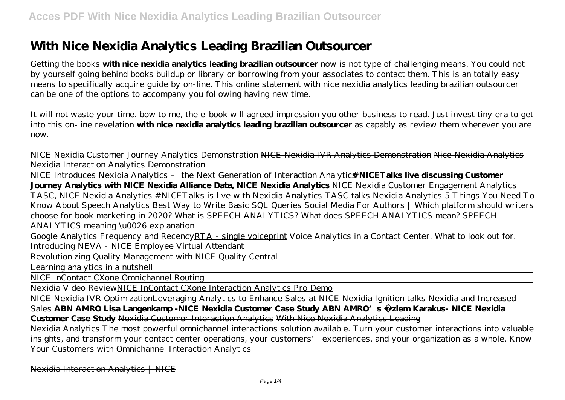# **With Nice Nexidia Analytics Leading Brazilian Outsourcer**

Getting the books **with nice nexidia analytics leading brazilian outsourcer** now is not type of challenging means. You could not by yourself going behind books buildup or library or borrowing from your associates to contact them. This is an totally easy means to specifically acquire guide by on-line. This online statement with nice nexidia analytics leading brazilian outsourcer can be one of the options to accompany you following having new time.

It will not waste your time. bow to me, the e-book will agreed impression you other business to read. Just invest tiny era to get into this on-line revelation **with nice nexidia analytics leading brazilian outsourcer** as capably as review them wherever you are now.

NICE Nexidia Customer Journey Analytics Demonstration NICE Nexidia IVR Analytics Demonstration Nice Nexidia Analytics Nexidia Interaction Analytics Demonstration

NICE Introduces Nexidia Analytics - the Next Generation of Interaction Analytic**#NICETalks live discussing Customer Journey Analytics with NICE Nexidia Alliance Data, NICE Nexidia Analytics** NICE Nexidia Customer Engagement Analytics TASC, NICE Nexidia Analytics #NICETalks is live with Nexidia Analytics *TASC talks Nexidia Analytics* 5 Things You Need To Know About Speech Analytics Best Way to Write Basic SQL Queries Social Media For Authors | Which platform should writers choose for book marketing in 2020? *What is SPEECH ANALYTICS? What does SPEECH ANALYTICS mean? SPEECH ANALYTICS meaning \u0026 explanation*

Google Analytics Frequency and RecencyRTA - single voiceprint Voice Analytics in a Contact Center. What to look out for. Introducing NEVA - NICE Employee Virtual Attendant

Revolutionizing Quality Management with NICE Quality Central

Learning analytics in a nutshell

NICE inContact CXone Omnichannel Routing

Nexidia Video ReviewNICE InContact CXone Interaction Analytics Pro Demo

NICE Nexidia IVR Optimization*Leveraging Analytics to Enhance Sales at NICE Nexidia Ignition talks Nexidia and Increased Sales* **ABN AMRO Lisa Langenkamp -NICE Nexidia Customer Case Study ABN AMRO's Özlem Karakus- NICE Nexidia Customer Case Study** Nexidia Customer Interaction Analytics With Nice Nexidia Analytics Leading

Nexidia Analytics The most powerful omnichannel interactions solution available. Turn your customer interactions into valuable insights, and transform your contact center operations, your customers' experiences, and your organization as a whole. Know Your Customers with Omnichannel Interaction Analytics

Nexidia Interaction Analytics | NICE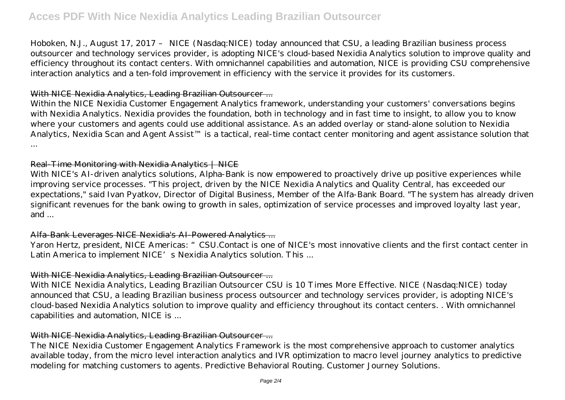Hoboken, N.J., August 17, 2017 – NICE (Nasdaq:NICE) today announced that CSU, a leading Brazilian business process outsourcer and technology services provider, is adopting NICE's cloud-based Nexidia Analytics solution to improve quality and efficiency throughout its contact centers. With omnichannel capabilities and automation, NICE is providing CSU comprehensive interaction analytics and a ten-fold improvement in efficiency with the service it provides for its customers.

### With NICE Nexidia Analytics, Leading Brazilian Outsourcer...

Within the NICE Nexidia Customer Engagement Analytics framework, understanding your customers' conversations begins with Nexidia Analytics. Nexidia provides the foundation, both in technology and in fast time to insight, to allow you to know where your customers and agents could use additional assistance. As an added overlay or stand-alone solution to Nexidia Analytics, Nexidia Scan and Agent Assist™ is a tactical, real-time contact center monitoring and agent assistance solution that ...

#### Real-Time Monitoring with Nexidia Analytics | NICE

With NICE's AI-driven analytics solutions, Alpha-Bank is now empowered to proactively drive up positive experiences while improving service processes. "This project, driven by the NICE Nexidia Analytics and Quality Central, has exceeded our expectations," said Ivan Pyatkov, Director of Digital Business, Member of the Alfa-Bank Board. "The system has already driven significant revenues for the bank owing to growth in sales, optimization of service processes and improved loyalty last year, and ...

## Alfa-Bank Leverages NICE Nexidia's AI-Powered Analytics ...

Yaron Hertz, president, NICE Americas: "CSU.Contact is one of NICE's most innovative clients and the first contact center in Latin America to implement NICE's Nexidia Analytics solution. This ...

### With NICE Nexidia Analytics, Leading Brazilian Outsourcer...

With NICE Nexidia Analytics, Leading Brazilian Outsourcer CSU is 10 Times More Effective. NICE (Nasdaq:NICE) today announced that CSU, a leading Brazilian business process outsourcer and technology services provider, is adopting NICE's cloud-based Nexidia Analytics solution to improve quality and efficiency throughout its contact centers. . With omnichannel capabilities and automation, NICE is ...

## With NICE Nexidia Analytics, Leading Brazilian Outsourcer...

The NICE Nexidia Customer Engagement Analytics Framework is the most comprehensive approach to customer analytics available today, from the micro level interaction analytics and IVR optimization to macro level journey analytics to predictive modeling for matching customers to agents. Predictive Behavioral Routing. Customer Journey Solutions.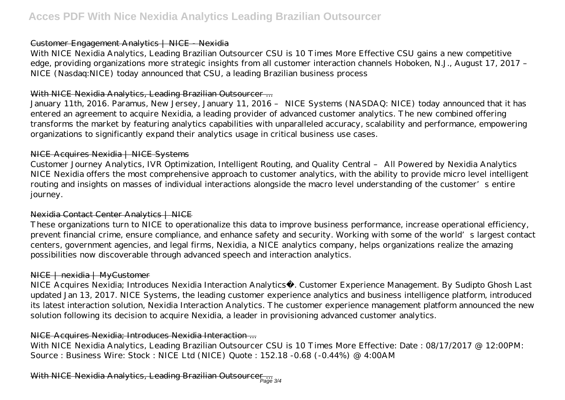### Customer Engagement Analytics | NICE - Nexidia

With NICE Nexidia Analytics, Leading Brazilian Outsourcer CSU is 10 Times More Effective CSU gains a new competitive edge, providing organizations more strategic insights from all customer interaction channels Hoboken, N.J., August 17, 2017 – NICE (Nasdaq:NICE) today announced that CSU, a leading Brazilian business process

## With NICE Nexidia Analytics, Leading Brazilian Outsourcer...

January 11th, 2016. Paramus, New Jersey, January 11, 2016 – NICE Systems (NASDAQ: NICE) today announced that it has entered an agreement to acquire Nexidia, a leading provider of advanced customer analytics. The new combined offering transforms the market by featuring analytics capabilities with unparalleled accuracy, scalability and performance, empowering organizations to significantly expand their analytics usage in critical business use cases.

## NICE Acquires Nexidia | NICE Systems

Customer Journey Analytics, IVR Optimization, Intelligent Routing, and Quality Central – All Powered by Nexidia Analytics NICE Nexidia offers the most comprehensive approach to customer analytics, with the ability to provide micro level intelligent routing and insights on masses of individual interactions alongside the macro level understanding of the customer's entire journey.

## Nexidia Contact Center Analytics | NICE

These organizations turn to NICE to operationalize this data to improve business performance, increase operational efficiency, prevent financial crime, ensure compliance, and enhance safety and security. Working with some of the world's largest contact centers, government agencies, and legal firms, Nexidia, a NICE analytics company, helps organizations realize the amazing possibilities now discoverable through advanced speech and interaction analytics.

## NICE | nexidia | MyCustomer

NICE Acquires Nexidia; Introduces Nexidia Interaction Analytics®. Customer Experience Management. By Sudipto Ghosh Last updated Jan 13, 2017. NICE Systems, the leading customer experience analytics and business intelligence platform, introduced its latest interaction solution, Nexidia Interaction Analytics. The customer experience management platform announced the new solution following its decision to acquire Nexidia, a leader in provisioning advanced customer analytics.

## NICE Acquires Nexidia; Introduces Nexidia Interaction ...

With NICE Nexidia Analytics, Leading Brazilian Outsourcer CSU is 10 Times More Effective: Date : 08/17/2017 @ 12:00PM: Source : Business Wire: Stock : NICE Ltd (NICE) Quote : 152.18 -0.68 (-0.44%) @ 4:00AM

With NICE Nexidia Analytics, Leading Brazilian Outsourcer....<br>Page 3/4